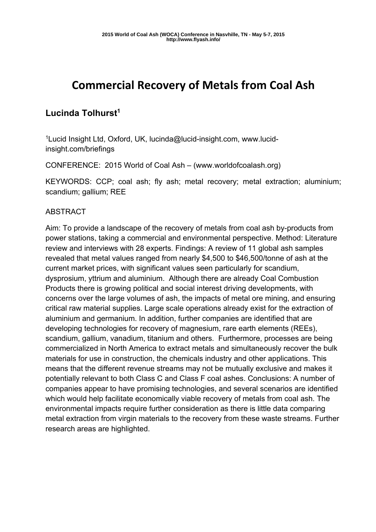# **Commercial Recovery of Metals from Coal Ash**

## **Lucinda Tolhurst1**

1Lucid Insight Ltd, Oxford, UK, lucinda@lucid-insight.com, www.lucidinsight.com/briefings

CONFERENCE: 2015 World of Coal Ash – (www.worldofcoalash.org)

KEYWORDS: CCP; coal ash; fly ash; metal recovery; metal extraction; aluminium; scandium; gallium; REE

#### ABSTRACT

Aim: To provide a landscape of the recovery of metals from coal ash by-products from power stations, taking a commercial and environmental perspective. Method: Literature review and interviews with 28 experts. Findings: A review of 11 global ash samples revealed that metal values ranged from nearly \$4,500 to \$46,500/tonne of ash at the current market prices, with significant values seen particularly for scandium, dysprosium, yttrium and aluminium. Although there are already Coal Combustion Products there is growing political and social interest driving developments, with concerns over the large volumes of ash, the impacts of metal ore mining, and ensuring critical raw material supplies. Large scale operations already exist for the extraction of aluminium and germanium. In addition, further companies are identified that are developing technologies for recovery of magnesium, rare earth elements (REEs), scandium, gallium, vanadium, titanium and others. Furthermore, processes are being commercialized in North America to extract metals and simultaneously recover the bulk materials for use in construction, the chemicals industry and other applications. This means that the different revenue streams may not be mutually exclusive and makes it potentially relevant to both Class C and Class F coal ashes. Conclusions: A number of companies appear to have promising technologies, and several scenarios are identified which would help facilitate economically viable recovery of metals from coal ash. The environmental impacts require further consideration as there is little data comparing metal extraction from virgin materials to the recovery from these waste streams. Further research areas are highlighted.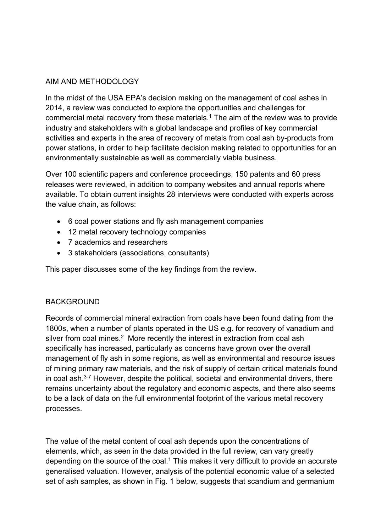#### AIM AND METHODOLOGY

In the midst of the USA EPA's decision making on the management of coal ashes in 2014, a review was conducted to explore the opportunities and challenges for commercial metal recovery from these materials.<sup>1</sup> The aim of the review was to provide industry and stakeholders with a global landscape and profiles of key commercial activities and experts in the area of recovery of metals from coal ash by-products from power stations, in order to help facilitate decision making related to opportunities for an environmentally sustainable as well as commercially viable business.

Over 100 scientific papers and conference proceedings, 150 patents and 60 press releases were reviewed, in addition to company websites and annual reports where available. To obtain current insights 28 interviews were conducted with experts across the value chain, as follows:

- 6 coal power stations and fly ash management companies
- 12 metal recovery technology companies
- 7 academics and researchers
- 3 stakeholders (associations, consultants)

This paper discusses some of the key findings from the review.

#### **BACKGROUND**

Records of commercial mineral extraction from coals have been found dating from the 1800s, when a number of plants operated in the US e.g. for recovery of vanadium and silver from coal mines.<sup>2</sup> More recently the interest in extraction from coal ash specifically has increased, particularly as concerns have grown over the overall management of fly ash in some regions, as well as environmental and resource issues of mining primary raw materials, and the risk of supply of certain critical materials found in coal ash. $3-7$  However, despite the political, societal and environmental drivers, there remains uncertainty about the regulatory and economic aspects, and there also seems to be a lack of data on the full environmental footprint of the various metal recovery processes.

The value of the metal content of coal ash depends upon the concentrations of elements, which, as seen in the data provided in the full review, can vary greatly depending on the source of the coal.<sup>1</sup> This makes it very difficult to provide an accurate generalised valuation. However, analysis of the potential economic value of a selected set of ash samples, as shown in Fig. 1 below, suggests that scandium and germanium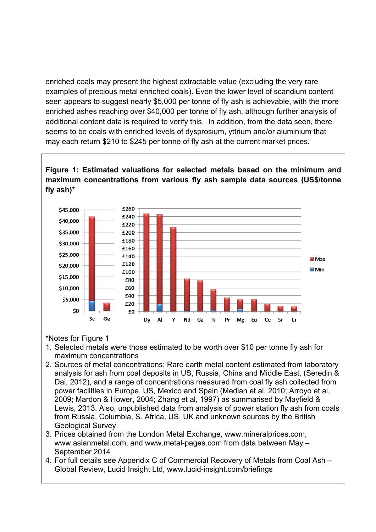enriched coals may present the highest extractable value (excluding the very rare examples of precious metal enriched coals). Even the lower level of scandium content seen appears to suggest nearly \$5,000 per tonne of fly ash is achievable, with the more enriched ashes reaching over \$40,000 per tonne of fly ash, although further analysis of additional content data is required to verify this. In addition, from the data seen, there seems to be coals with enriched levels of dysprosium, yttrium and/or aluminium that may each return \$210 to \$245 per tonne of fly ash at the current market prices.

## **Figure 1: Estimated valuations for selected metals based on the minimum and maximum concentrations from various fly ash sample data sources (US\$/tonne fly ash)\***



\*Notes for Figure 1

- 1. Selected metals were those estimated to be worth over \$10 per tonne fly ash for maximum concentrations
- 2. Sources of metal concentrations: Rare earth metal content estimated from laboratory analysis for ash from coal deposits in US, Russia, China and Middle East, (Seredin & Dai, 2012), and a range of concentrations measured from coal fly ash collected from power facilities in Europe, US, Mexico and Spain (Median et al, 2010; Arroyo et al, 2009; Mardon & Hower, 2004; Zhang et al, 1997) as summarised by Mayfield & Lewis, 2013. Also, unpublished data from analysis of power station fly ash from coals from Russia, Columbia, S. Africa, US, UK and unknown sources by the British Geological Survey.
- 3. Prices obtained from the London Metal Exchange, www.mineralprices.com, www.asianmetal.com, and www.metal-pages.com from data between May – September 2014
- 4. For full details see Appendix C of Commercial Recovery of Metals from Coal Ash Global Review, Lucid Insight Ltd, www.lucid-insight.com/briefings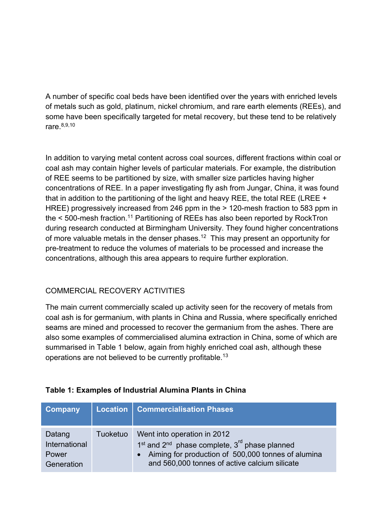A number of specific coal beds have been identified over the years with enriched levels of metals such as gold, platinum, nickel chromium, and rare earth elements (REEs), and some have been specifically targeted for metal recovery, but these tend to be relatively rare.8,9,10

In addition to varying metal content across coal sources, different fractions within coal or coal ash may contain higher levels of particular materials. For example, the distribution of REE seems to be partitioned by size, with smaller size particles having higher concentrations of REE. In a paper investigating fly ash from Jungar, China, it was found that in addition to the partitioning of the light and heavy REE, the total REE (LREE + HREE) progressively increased from 246 ppm in the > 120-mesh fraction to 583 ppm in the < 500-mesh fraction.<sup>11</sup> Partitioning of REEs has also been reported by RockTron during research conducted at Birmingham University. They found higher concentrations of more valuable metals in the denser phases.12 This may present an opportunity for pre-treatment to reduce the volumes of materials to be processed and increase the concentrations, although this area appears to require further exploration.

## COMMERCIAL RECOVERY ACTIVITIES

The main current commercially scaled up activity seen for the recovery of metals from coal ash is for germanium, with plants in China and Russia, where specifically enriched seams are mined and processed to recover the germanium from the ashes. There are also some examples of commercialised alumina extraction in China, some of which are summarised in Table 1 below, again from highly enriched coal ash, although these operations are not believed to be currently profitable.13

| Company                                        |          | Location   Commercialisation Phases                                                                                                                                                                                     |
|------------------------------------------------|----------|-------------------------------------------------------------------------------------------------------------------------------------------------------------------------------------------------------------------------|
| Datang<br>International<br>Power<br>Generation | Tuoketuo | Went into operation in 2012<br>1 <sup>st</sup> and 2 <sup>nd</sup> phase complete, 3 <sup>rd</sup> phase planned<br>Aiming for production of 500,000 tonnes of alumina<br>and 560,000 tonnes of active calcium silicate |

#### **Table 1: Examples of Industrial Alumina Plants in China**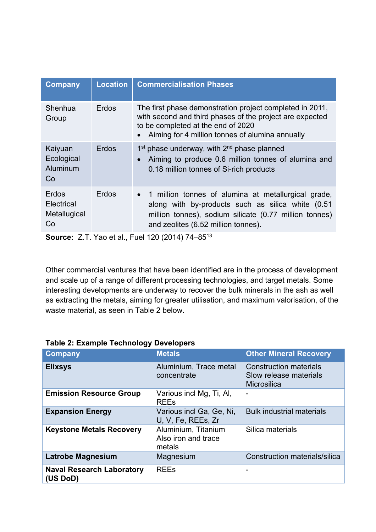| <b>Company</b>                                   | <b>Location</b> | <b>Commercialisation Phases</b>                                                                                                                                                                               |
|--------------------------------------------------|-----------------|---------------------------------------------------------------------------------------------------------------------------------------------------------------------------------------------------------------|
| Shenhua<br>Group                                 | Erdos           | The first phase demonstration project completed in 2011,<br>with second and third phases of the project are expected<br>to be completed at the end of 2020<br>Aiming for 4 million tonnes of alumina annually |
| Kaiyuan<br>Ecological<br>Aluminum<br>Co          | Erdos           | $1st$ phase underway, with $2nd$ phase planned<br>Aiming to produce 0.6 million tonnes of alumina and<br>$\bullet$<br>0.18 million tonnes of Si-rich products                                                 |
| Erdos<br><b>Electrical</b><br>Metallugical<br>Co | Erdos           | • 1 million tonnes of alumina at metallurgical grade,<br>along with by-products such as silica white (0.51)<br>million tonnes), sodium silicate (0.77 million tonnes)<br>and zeolites (6.52 million tonnes).  |

**Source:** Z.T. Yao et al., Fuel 120 (2014) 74–8513

Other commercial ventures that have been identified are in the process of development and scale up of a range of different processing technologies, and target metals. Some interesting developments are underway to recover the bulk minerals in the ash as well as extracting the metals, aiming for greater utilisation, and maximum valorisation, of the waste material, as seen in Table 2 below.

| <b>Company</b>                               | <b>Metals</b>                                        | <b>Other Mineral Recovery</b>                                                 |
|----------------------------------------------|------------------------------------------------------|-------------------------------------------------------------------------------|
| <b>Elixsys</b>                               | Aluminium, Trace metal<br>concentrate                | <b>Construction materials</b><br>Slow release materials<br><b>Microsilica</b> |
| <b>Emission Resource Group</b>               | Various incl Mg, Ti, Al,<br><b>REEs</b>              |                                                                               |
| <b>Expansion Energy</b>                      | Various incl Ga, Ge, Ni,<br>U, V, Fe, REEs, Zr       | <b>Bulk industrial materials</b>                                              |
| <b>Keystone Metals Recovery</b>              | Aluminium, Titanium<br>Also iron and trace<br>metals | Silica materials                                                              |
| Latrobe Magnesium                            | Magnesium                                            | Construction materials/silica                                                 |
| <b>Naval Research Laboratory</b><br>(US DoD) | <b>REEs</b>                                          |                                                                               |

#### **Table 2: Example Technology Developers**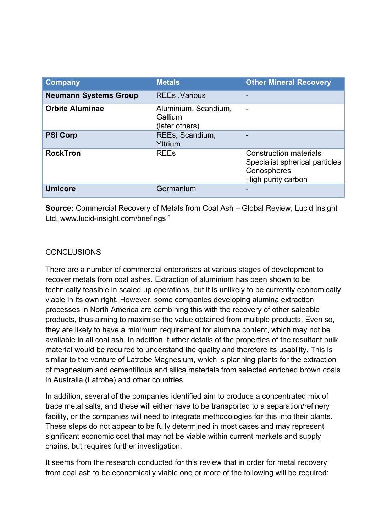| Company                      | <b>Metals</b>                                     | <b>Other Mineral Recovery</b>                                                                        |
|------------------------------|---------------------------------------------------|------------------------------------------------------------------------------------------------------|
| <b>Neumann Systems Group</b> | <b>REEs, Various</b>                              |                                                                                                      |
| <b>Orbite Aluminae</b>       | Aluminium, Scandium.<br>Gallium<br>(later others) |                                                                                                      |
| <b>PSI Corp</b>              | REEs, Scandium,<br>Yttrium                        |                                                                                                      |
| <b>RockTron</b>              | <b>REEs</b>                                       | <b>Construction materials</b><br>Specialist spherical particles<br>Cenospheres<br>High purity carbon |
| <b>Umicore</b>               | Germanium                                         |                                                                                                      |

**Source:** Commercial Recovery of Metals from Coal Ash – Global Review, Lucid Insight Ltd, www.lucid-insight.com/briefings <sup>1</sup>

#### **CONCLUSIONS**

There are a number of commercial enterprises at various stages of development to recover metals from coal ashes. Extraction of aluminium has been shown to be technically feasible in scaled up operations, but it is unlikely to be currently economically viable in its own right. However, some companies developing alumina extraction processes in North America are combining this with the recovery of other saleable products, thus aiming to maximise the value obtained from multiple products. Even so, they are likely to have a minimum requirement for alumina content, which may not be available in all coal ash. In addition, further details of the properties of the resultant bulk material would be required to understand the quality and therefore its usability. This is similar to the venture of Latrobe Magnesium, which is planning plants for the extraction of magnesium and cementitious and silica materials from selected enriched brown coals in Australia (Latrobe) and other countries.

In addition, several of the companies identified aim to produce a concentrated mix of trace metal salts, and these will either have to be transported to a separation/refinery facility, or the companies will need to integrate methodologies for this into their plants. These steps do not appear to be fully determined in most cases and may represent significant economic cost that may not be viable within current markets and supply chains, but requires further investigation.

It seems from the research conducted for this review that in order for metal recovery from coal ash to be economically viable one or more of the following will be required: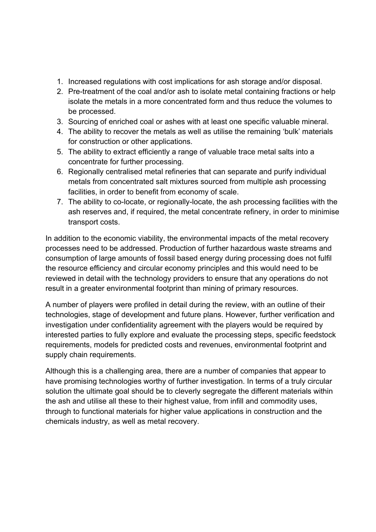- 1. Increased regulations with cost implications for ash storage and/or disposal.
- 2. Pre-treatment of the coal and/or ash to isolate metal containing fractions or help isolate the metals in a more concentrated form and thus reduce the volumes to be processed.
- 3. Sourcing of enriched coal or ashes with at least one specific valuable mineral.
- 4. The ability to recover the metals as well as utilise the remaining 'bulk' materials for construction or other applications.
- 5. The ability to extract efficiently a range of valuable trace metal salts into a concentrate for further processing.
- 6. Regionally centralised metal refineries that can separate and purify individual metals from concentrated salt mixtures sourced from multiple ash processing facilities, in order to benefit from economy of scale.
- 7. The ability to co-locate, or regionally-locate, the ash processing facilities with the ash reserves and, if required, the metal concentrate refinery, in order to minimise transport costs.

In addition to the economic viability, the environmental impacts of the metal recovery processes need to be addressed. Production of further hazardous waste streams and consumption of large amounts of fossil based energy during processing does not fulfil the resource efficiency and circular economy principles and this would need to be reviewed in detail with the technology providers to ensure that any operations do not result in a greater environmental footprint than mining of primary resources.

A number of players were profiled in detail during the review, with an outline of their technologies, stage of development and future plans. However, further verification and investigation under confidentiality agreement with the players would be required by interested parties to fully explore and evaluate the processing steps, specific feedstock requirements, models for predicted costs and revenues, environmental footprint and supply chain requirements.

Although this is a challenging area, there are a number of companies that appear to have promising technologies worthy of further investigation. In terms of a truly circular solution the ultimate goal should be to cleverly segregate the different materials within the ash and utilise all these to their highest value, from infill and commodity uses, through to functional materials for higher value applications in construction and the chemicals industry, as well as metal recovery.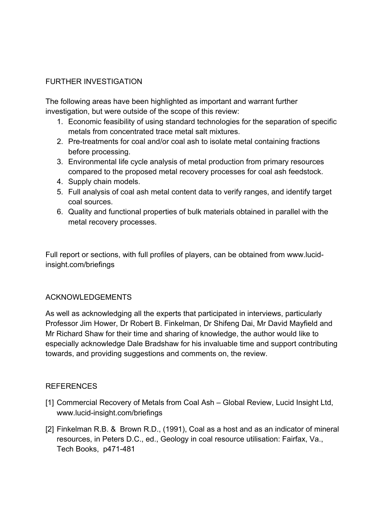## FURTHER INVESTIGATION

The following areas have been highlighted as important and warrant further investigation, but were outside of the scope of this review:

- 1. Economic feasibility of using standard technologies for the separation of specific metals from concentrated trace metal salt mixtures.
- 2. Pre-treatments for coal and/or coal ash to isolate metal containing fractions before processing.
- 3. Environmental life cycle analysis of metal production from primary resources compared to the proposed metal recovery processes for coal ash feedstock.
- 4. Supply chain models.
- 5. Full analysis of coal ash metal content data to verify ranges, and identify target coal sources.
- 6. Quality and functional properties of bulk materials obtained in parallel with the metal recovery processes.

Full report or sections, with full profiles of players, can be obtained from www.lucidinsight.com/briefings

#### ACKNOWLEDGEMENTS

As well as acknowledging all the experts that participated in interviews, particularly Professor Jim Hower, Dr Robert B. Finkelman, Dr Shifeng Dai, Mr David Mayfield and Mr Richard Shaw for their time and sharing of knowledge, the author would like to especially acknowledge Dale Bradshaw for his invaluable time and support contributing towards, and providing suggestions and comments on, the review.

#### REFERENCES

- [1] Commercial Recovery of Metals from Coal Ash Global Review, Lucid Insight Ltd, www.lucid-insight.com/briefings
- [2] Finkelman R.B. & Brown R.D., (1991), Coal as a host and as an indicator of mineral resources, in Peters D.C., ed., Geology in coal resource utilisation: Fairfax, Va., Tech Books, p471-481